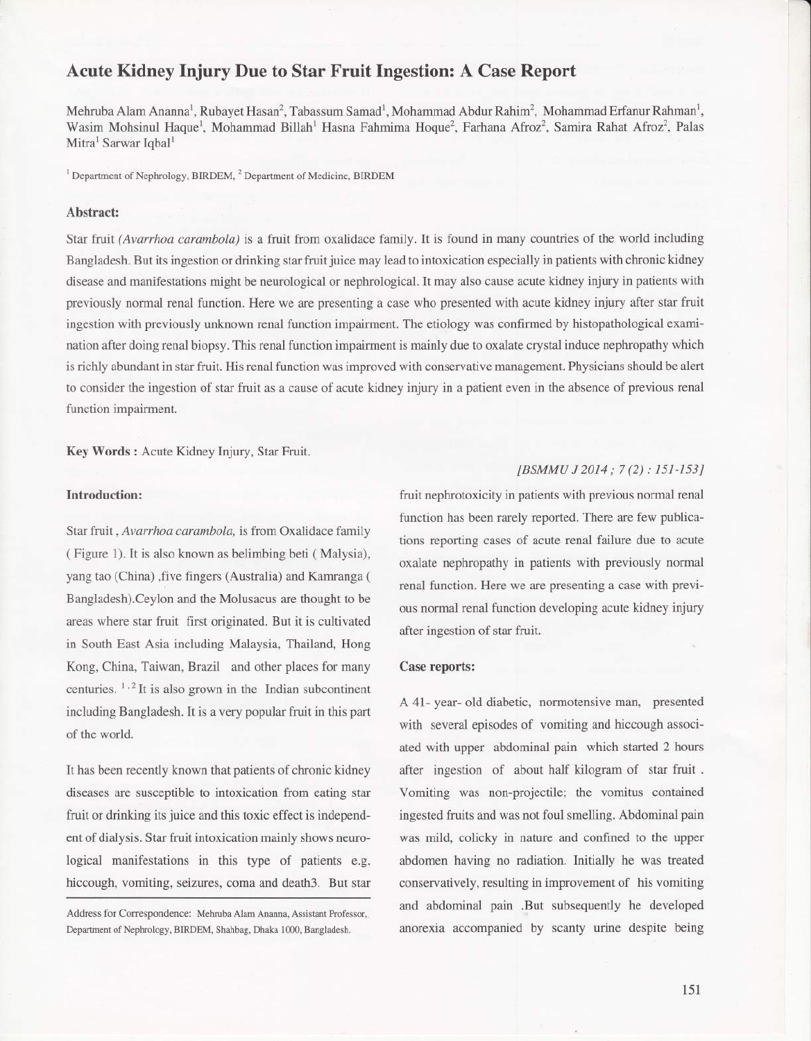# Acute Kidney Injury Due to Star Fruit Ingestion: A Case Report

Mehruba Alam Ananna<sup>l</sup>, Rubayet Hasan<sup>2</sup>, Tabassum Samad<sup>1</sup>, Mohammad Abdur Rahim<sup>2</sup>, Mohammad Erfanur Rahman<sup>1</sup>, Wasim Mohsinul Haque<sup>1</sup>, Mohammad Billah<sup>1</sup> Hasna Fahmima Hoque<sup>2</sup>, Farhana Afroz<sup>2</sup>, Samira Rahat Afroz<sup>2</sup>, Palas Mitra<sup>1</sup> Sarwar Iqbal<sup>1</sup>

<sup>1</sup> Department of Nephrology, BIRDEM,  $^{2}$  Department of Medicine, BIRDEM

# Abstract:

Star fruit (Avarrhoa carambola) is a fruit from oxalidace family. It is found in many countries of the world including Bangladesh. But its ingestion or drinking star fruit juice may lead to intoxication especially in patients with chronic kidney disease and manifestations might be neurological or nephrological. It may also cause acute kidney injury in patients with previously normal renal function. Here we are presenting a case who presented with acute kidney injury after star fruit ingestion with previously unknown renal function impairment. The etiology was confirrned by histopathological examination after doing renal biopsy. This renal function impairment is mainly due to oxalate crystal induce nephropathy which is richly abundant in star fruit. His renal function was improved with conservativemanagement. Physicians should be alert to consider the ingestion of star fruit as a cause of acute kidney injury in a patient even in the absence of previous renal function impairment.

Key Words : Acute Kidney Injury, Star Fruit.

# Introduction:

Star fruit , Avarrhoa carambola, is from Oxalidace family ( Figure 1). It is also known as belimbing beti ( Malysia), yang tao (China) ,five fingers (Australia) and Kamranga ( Bangladesh).Ceylon and the Molusacus are thought to be areas where star fruit first originated. But it is cultivated in South East Asia including Malaysia, Thailand, Hong Kong, China, Taiwan, Brazil and other places for many centuries.  $1.2$  It is also grown in the Indian subcontinent including Bangladesh. It is a very popular fruit in this part of the world.

It has been recently known that patients of chronic kidney diseases are susceptible to intoxication from eating star fruit or drinking its juice and this toxic effect is independent of dialysis. Star fruit intoxication mainly shows neurological manifestations in this type of patients e.g. hiccough, vomiting, seizures, coma and death3. But star

Address for Correspondence: Mehruba Alam Ananna, Assistant Professor,. Department of Nephrology, BIRDEM, Shahbag, Dhaka 1000, Bangladesh.

# [BSMMU J 2014 ; 7(2) : 151-153]

-l

fruit nephrotoxicity in patients with previous normal renal function has been rarely reported. There are few publications reporting cases of acute renal failure due to acute oxalate nephropathy in patients with previously normal renal function. Here we are presenting a case with previous normal renal function developing acute kidney injury after ingestion of star fruit.

#### Case reports:

A 41- year- old diabetic, normotensive man, presented with several episodes of vomiting and hiccough associated with upper abdominal pain which started 2 hours after ingestion of about half kilogram of star fruit. Vomiting was non-projectile; the vomitus contained ingested fruits and was not foul smelling. Abdominal pain was mild, colicky in nature and confined to the upper abdomen having no radiation. Initially he was treated conservatively, resulting in improvement of his vomiting and abdominal pain .But subsequently he developed anorexia accompanied by scanty urine despite being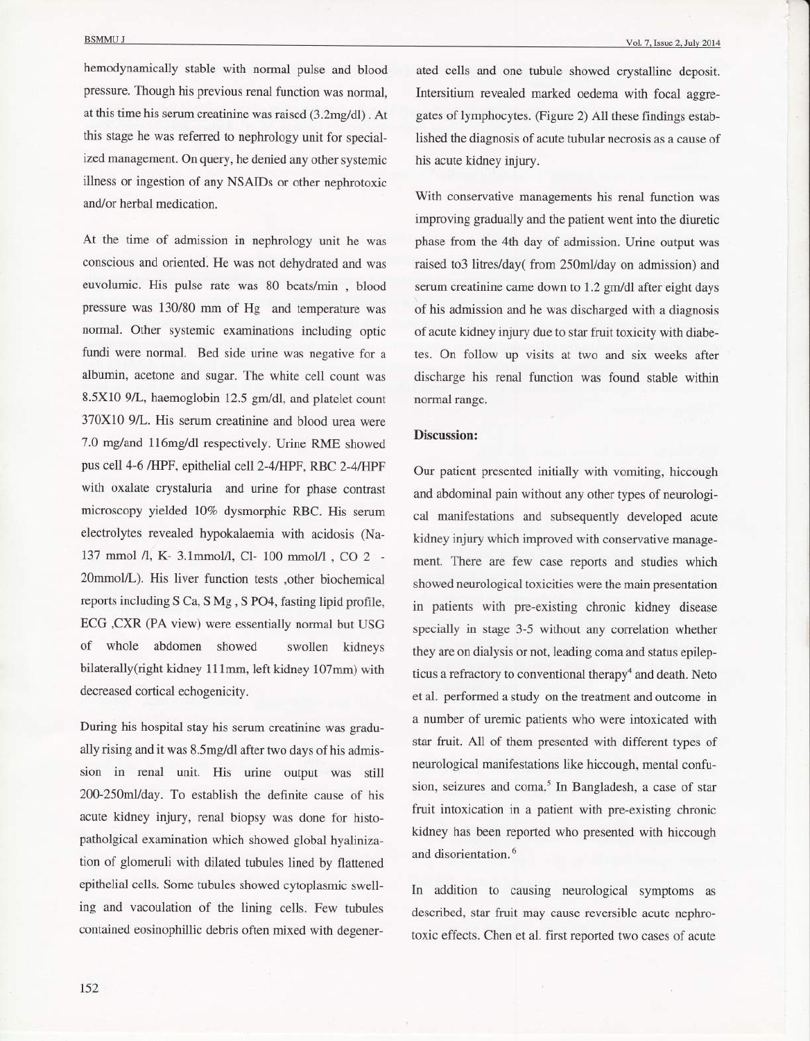hemodynamically stable with normal pulse and blood pressure. Though his previous renal function was normal, at this time his serum creatinine was raised (3.Zmgldl) . At this stage he was referred to nephrology unit for specialized management. On query, he denied any other systemic illness or ingestion of any NSAIDs or other nephrotoxic and/or herbal medication.

At the time of admission in nephrology unit he was conscious and oriented. He was not dehydrated and was euvolumic. His pulse rate was 80 beats/min , blood pressure was 130/80 mm of Hg and temperature was normal. Other systemic examinations including optic fundi were normal. Bed side urine was negative for <sup>a</sup> albumin, acetone and sugar. The white cell count was 8.5X10 9/L, haemoglobin 12.5 gm/dl, and platelet count 370x10 9/L. His serum creatinine and blood urea were 7.0 mg/and 116mg/dl respectively. Urine RME showed pus cell 4-6 /HPF, epithelial cell 2-4/HPF, RBC 2-4/HPF with oxalate crystaluria and urine for phase contrast microscopy yielded l07o dysmorphic RBC. His serum electrolytes revealed hypokalaemia with acidosis (Na-137 mmol /l, K- 3.1mmol/l, Cl- 100 mmol/l, CO 2 -20mmol/L). His liver function tests ,other biochemical reports including S Ca, S Mg , S PO4, fasting lipid profile, ECG ,CXR (PA view) were essentially normal but USG of whole abdomen showed swollen kidneys bilaterally(right kidney 111mm, left kidney 107mm) with decreased cortical echogenicity.

During his hospital stay his serum creatinine was gradually rising and it was 8.5mg/dl after two days of his admission in renal unit. His urine output was still 200-250m1/day. To establish the definite cause of his acute kidney injury, renal biopsy was done for histopatholgical examination which showed global hyalinization of glomeruli with dilated tubules lined by flattened epithelial cells. Some tubules showed cytoplasmic swelling and vacoulation of the lining cells. Few tubules contained eosinophillic debris often mixed with degenerated cells and one tubule showed crystalline deposit. Intersitium revealed marked oedema with focal aggregates of lymphocytes. (Figure 2) All these findings established the diagnosis of acute tubular necrosis as a cause of his acute kidney injury.

With conservative managements his renal function was improving gradually and the patient went into the diuretic phase from the 4th day of admission. Urine output was raised to3 litres/day( from 250ml/day on admission) and serum creatinine came down to 1.2 gm/dl after eight days of his admission and he was discharged with a diagnosis of acute kidney injury due to star fruit toxicity with diabetes. On follow up visits at two and six weeks after discharge his renal function was found stable within normal range.

## Discussion:

Our patient presented initially with vomiting, hiccough and abdominal pain without any other types of neurological manifestations and subsequently developed acute kidney injury which improved with conservative management. There are few case reports and studies which showed neurological toxicities were the main presentation in patients with pre-existing chronic kidney disease specially in stage 3-5 without any correlation whether they are on dialysis or not, leading coma and status epilepticus a refractory to conventional therapy<sup>4</sup> and death. Neto et al. performed a study on the treatment and outcome in a number of uremic patients who were intoxicated with star fruit. All of them presented with different types of neurological manifestations like hiccough, mental confusion, seizures and coma.<sup>5</sup> In Bangladesh, a case of star fruit intoxication in a patient with pre-existing chronic kidney has been reported who presented with hiccough and disorientation.<sup>6</sup>

In addition to causing neurological symptoms as described, star fruit may cause reversible acute nephrotoxic effects. Chen et al. first reported two cases of acute